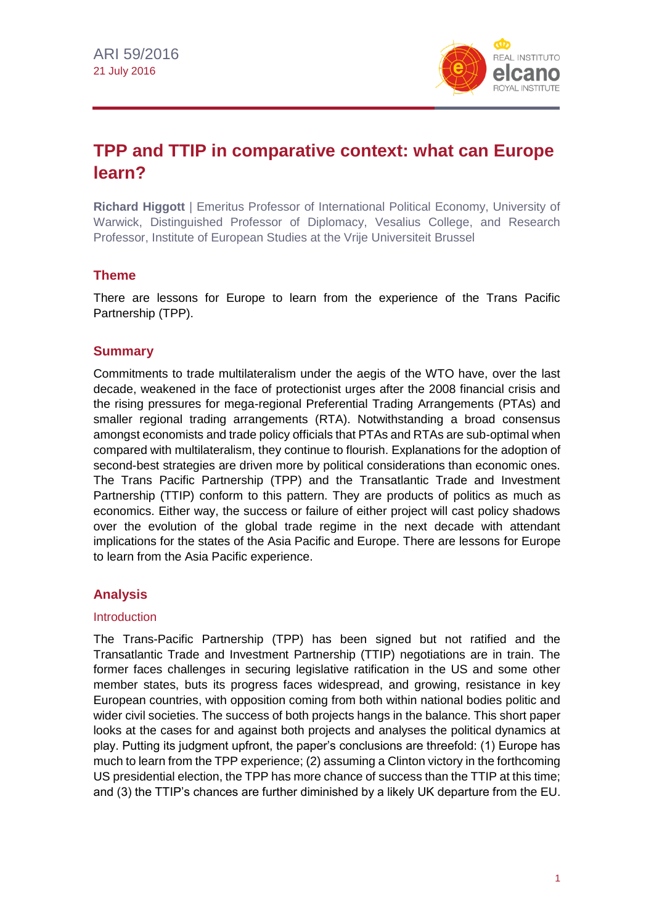

# **TPP and TTIP in comparative context: what can Europe learn?**

**Richard Higgott** | Emeritus Professor of International Political Economy, University of Warwick, Distinguished Professor of Diplomacy, Vesalius College, and Research Professor, Institute of European Studies at the Vrije Universiteit Brussel

# **Theme**

There are lessons for Europe to learn from the experience of the Trans Pacific Partnership (TPP).

# **Summary**

Commitments to trade multilateralism under the aegis of the WTO have, over the last decade, weakened in the face of protectionist urges after the 2008 financial crisis and the rising pressures for mega-regional Preferential Trading Arrangements (PTAs) and smaller regional trading arrangements (RTA). Notwithstanding a broad consensus amongst economists and trade policy officials that PTAs and RTAs are sub-optimal when compared with multilateralism, they continue to flourish. Explanations for the adoption of second-best strategies are driven more by political considerations than economic ones. The Trans Pacific Partnership (TPP) and the Transatlantic Trade and Investment Partnership (TTIP) conform to this pattern. They are products of politics as much as economics. Either way, the success or failure of either project will cast policy shadows over the evolution of the global trade regime in the next decade with attendant implications for the states of the Asia Pacific and Europe. There are lessons for Europe to learn from the Asia Pacific experience.

# **Analysis**

#### **Introduction**

The Trans-Pacific Partnership (TPP) has been signed but not ratified and the Transatlantic Trade and Investment Partnership (TTIP) negotiations are in train. The former faces challenges in securing legislative ratification in the US and some other member states, buts its progress faces widespread, and growing, resistance in key European countries, with opposition coming from both within national bodies politic and wider civil societies. The success of both projects hangs in the balance. This short paper looks at the cases for and against both projects and analyses the political dynamics at play. Putting its judgment upfront, the paper's conclusions are threefold: (1) Europe has much to learn from the TPP experience; (2) assuming a Clinton victory in the forthcoming US presidential election, the TPP has more chance of success than the TTIP at this time; and (3) the TTIP's chances are further diminished by a likely UK departure from the EU.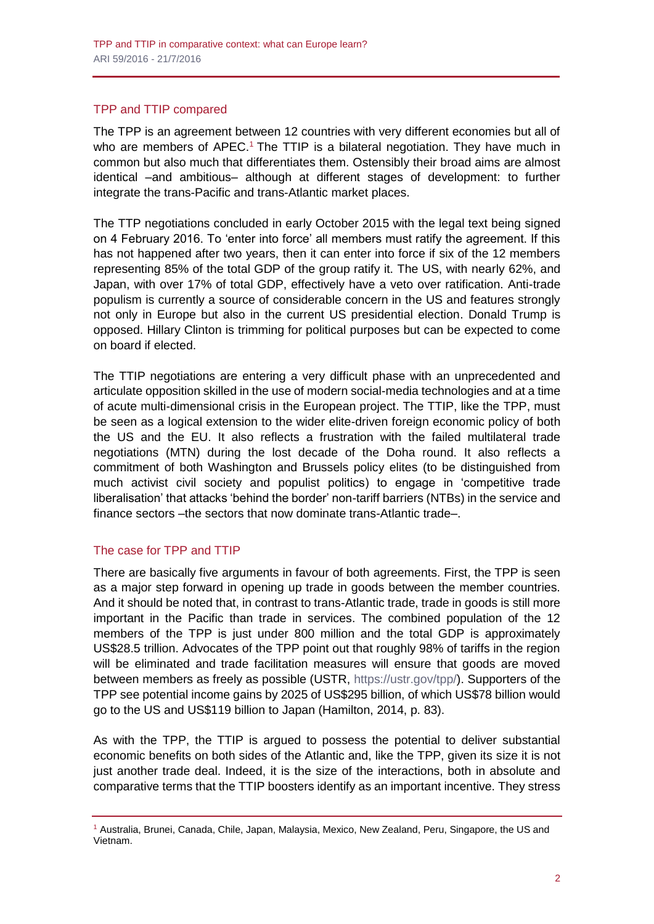#### TPP and TTIP compared

The TPP is an agreement between 12 countries with very different economies but all of who are members of APEC.<sup>1</sup> The TTIP is a bilateral negotiation. They have much in common but also much that differentiates them. Ostensibly their broad aims are almost identical –and ambitious– although at different stages of development: to further integrate the trans-Pacific and trans-Atlantic market places.

The TTP negotiations concluded in early October 2015 with the legal text being signed on 4 February 2016. To 'enter into force' all members must ratify the agreement. If this has not happened after two years, then it can enter into force if six of the 12 members representing 85% of the total GDP of the group ratify it. The US, with nearly 62%, and Japan, with over 17% of total GDP, effectively have a veto over ratification. Anti-trade populism is currently a source of considerable concern in the US and features strongly not only in Europe but also in the current US presidential election. Donald Trump is opposed. Hillary Clinton is trimming for political purposes but can be expected to come on board if elected.

The TTIP negotiations are entering a very difficult phase with an unprecedented and articulate opposition skilled in the use of modern social-media technologies and at a time of acute multi-dimensional crisis in the European project. The TTIP, like the TPP, must be seen as a logical extension to the wider elite-driven foreign economic policy of both the US and the EU. It also reflects a frustration with the failed multilateral trade negotiations (MTN) during the lost decade of the Doha round. It also reflects a commitment of both Washington and Brussels policy elites (to be distinguished from much activist civil society and populist politics) to engage in 'competitive trade liberalisation' that attacks 'behind the border' non-tariff barriers (NTBs) in the service and finance sectors –the sectors that now dominate trans-Atlantic trade–.

#### The case for TPP and TTIP

There are basically five arguments in favour of both agreements. First, the TPP is seen as a major step forward in opening up trade in goods between the member countries. And it should be noted that, in contrast to trans-Atlantic trade, trade in goods is still more important in the Pacific than trade in services. The combined population of the 12 members of the TPP is just under 800 million and the total GDP is approximately US\$28.5 trillion. Advocates of the TPP point out that roughly 98% of tariffs in the region will be eliminated and trade facilitation measures will ensure that goods are moved between members as freely as possible (USTR, [https://ustr.gov/tpp/\)](https://ustr.gov/tpp/). Supporters of the TPP see potential income gains by 2025 of US\$295 billion, of which US\$78 billion would go to the US and US\$119 billion to Japan (Hamilton, 2014, p. 83).

As with the TPP, the TTIP is argued to possess the potential to deliver substantial economic benefits on both sides of the Atlantic and, like the TPP, given its size it is not just another trade deal. Indeed, it is the size of the interactions, both in absolute and comparative terms that the TTIP boosters identify as an important incentive. They stress

<sup>1</sup> Australia, Brunei, Canada, Chile, Japan, Malaysia, Mexico, New Zealand, Peru, Singapore, the US and Vietnam.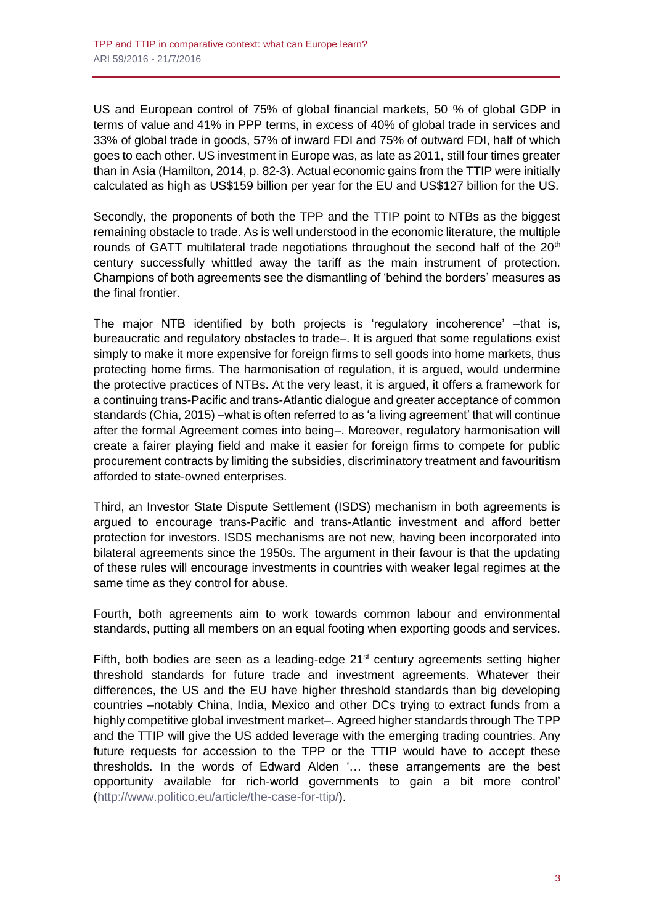US and European control of 75% of global financial markets, 50 % of global GDP in terms of value and 41% in PPP terms, in excess of 40% of global trade in services and 33% of global trade in goods, 57% of inward FDI and 75% of outward FDI, half of which goes to each other. US investment in Europe was, as late as 2011, still four times greater than in Asia (Hamilton, 2014, p. 82-3). Actual economic gains from the TTIP were initially calculated as high as US\$159 billion per year for the EU and US\$127 billion for the US.

Secondly, the proponents of both the TPP and the TTIP point to NTBs as the biggest remaining obstacle to trade. As is well understood in the economic literature, the multiple rounds of GATT multilateral trade negotiations throughout the second half of the 20<sup>th</sup> century successfully whittled away the tariff as the main instrument of protection. Champions of both agreements see the dismantling of 'behind the borders' measures as the final frontier.

The major NTB identified by both projects is 'regulatory incoherence' –that is, bureaucratic and regulatory obstacles to trade–. It is argued that some regulations exist simply to make it more expensive for foreign firms to sell goods into home markets, thus protecting home firms. The harmonisation of regulation, it is argued, would undermine the protective practices of NTBs. At the very least, it is argued, it offers a framework for a continuing trans-Pacific and trans-Atlantic dialogue and greater acceptance of common standards (Chia, 2015) –what is often referred to as 'a living agreement' that will continue after the formal Agreement comes into being–. Moreover, regulatory harmonisation will create a fairer playing field and make it easier for foreign firms to compete for public procurement contracts by limiting the subsidies, discriminatory treatment and favouritism afforded to state-owned enterprises.

Third, an Investor State Dispute Settlement (ISDS) mechanism in both agreements is argued to encourage trans-Pacific and trans-Atlantic investment and afford better protection for investors. ISDS mechanisms are not new, having been incorporated into bilateral agreements since the 1950s. The argument in their favour is that the updating of these rules will encourage investments in countries with weaker legal regimes at the same time as they control for abuse.

Fourth, both agreements aim to work towards common labour and environmental standards, putting all members on an equal footing when exporting goods and services.

Fifth, both bodies are seen as a leading-edge  $21<sup>st</sup>$  century agreements setting higher threshold standards for future trade and investment agreements. Whatever their differences, the US and the EU have higher threshold standards than big developing countries –notably China, India, Mexico and other DCs trying to extract funds from a highly competitive global investment market–. Agreed higher standards through The TPP and the TTIP will give the US added leverage with the emerging trading countries. Any future requests for accession to the TPP or the TTIP would have to accept these thresholds. In the words of Edward Alden '… these arrangements are the best opportunity available for rich-world governments to gain a bit more control' [\(http://www.politico.eu/article/the-case-for-ttip/\)](http://www.politico.eu/article/the-case-for-ttip/).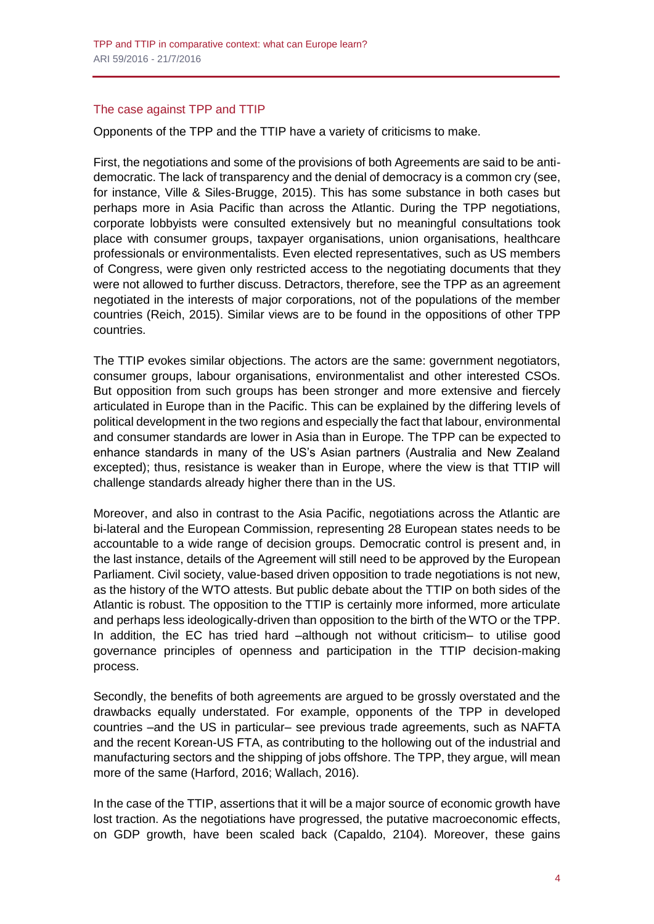## The case against TPP and TTIP

Opponents of the TPP and the TTIP have a variety of criticisms to make.

First, the negotiations and some of the provisions of both Agreements are said to be antidemocratic. The lack of transparency and the denial of democracy is a common cry (see, for instance, Ville & Siles-Brugge, 2015). This has some substance in both cases but perhaps more in Asia Pacific than across the Atlantic. During the TPP negotiations, corporate lobbyists were consulted extensively but no meaningful consultations took place with consumer groups, taxpayer organisations, union organisations, healthcare professionals or environmentalists. Even elected representatives, such as US members of Congress, were given only restricted access to the negotiating documents that they were not allowed to further discuss. Detractors, therefore, see the TPP as an agreement negotiated in the interests of major corporations, not of the populations of the member countries (Reich, 2015). Similar views are to be found in the oppositions of other TPP countries.

The TTIP evokes similar objections. The actors are the same: government negotiators, consumer groups, labour organisations, environmentalist and other interested CSOs. But opposition from such groups has been stronger and more extensive and fiercely articulated in Europe than in the Pacific. This can be explained by the differing levels of political development in the two regions and especially the fact that labour, environmental and consumer standards are lower in Asia than in Europe. The TPP can be expected to enhance standards in many of the US's Asian partners (Australia and New Zealand excepted); thus, resistance is weaker than in Europe, where the view is that TTIP will challenge standards already higher there than in the US.

Moreover, and also in contrast to the Asia Pacific, negotiations across the Atlantic are bi-lateral and the European Commission, representing 28 European states needs to be accountable to a wide range of decision groups. Democratic control is present and, in the last instance, details of the Agreement will still need to be approved by the European Parliament. Civil society, value-based driven opposition to trade negotiations is not new, as the history of the WTO attests. But public debate about the TTIP on both sides of the Atlantic is robust. The opposition to the TTIP is certainly more informed, more articulate and perhaps less ideologically-driven than opposition to the birth of the WTO or the TPP. In addition, the EC has tried hard –although not without criticism– to utilise good governance principles of openness and participation in the TTIP decision-making process.

Secondly, the benefits of both agreements are argued to be grossly overstated and the drawbacks equally understated. For example, opponents of the TPP in developed countries –and the US in particular– see previous trade agreements, such as NAFTA and the recent Korean-US FTA, as contributing to the hollowing out of the industrial and manufacturing sectors and the shipping of jobs offshore. The TPP, they argue, will mean more of the same (Harford, 2016; Wallach, 2016).

In the case of the TTIP, assertions that it will be a major source of economic growth have lost traction. As the negotiations have progressed, the putative macroeconomic effects, on GDP growth, have been scaled back (Capaldo, 2104). Moreover, these gains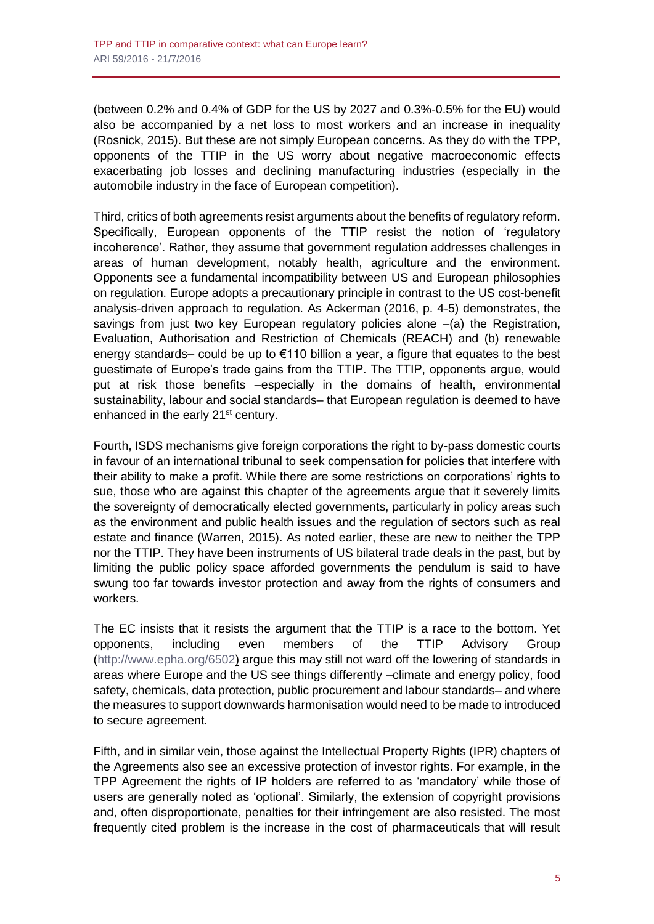(between 0.2% and 0.4% of GDP for the US by 2027 and 0.3%-0.5% for the EU) would also be accompanied by a net loss to most workers and an increase in inequality (Rosnick, 2015). But these are not simply European concerns. As they do with the TPP, opponents of the TTIP in the US worry about negative macroeconomic effects exacerbating job losses and declining manufacturing industries (especially in the automobile industry in the face of European competition).

Third, critics of both agreements resist arguments about the benefits of regulatory reform. Specifically, European opponents of the TTIP resist the notion of 'regulatory incoherence'. Rather, they assume that government regulation addresses challenges in areas of human development, notably health, agriculture and the environment. Opponents see a fundamental incompatibility between US and European philosophies on regulation. Europe adopts a precautionary principle in contrast to the US cost-benefit analysis-driven approach to regulation. As Ackerman (2016, p. 4-5) demonstrates, the savings from just two key European regulatory policies alone  $-(a)$  the Registration, Evaluation, Authorisation and Restriction of Chemicals (REACH) and (b) renewable energy standards– could be up to €110 billion a year, a figure that equates to the best guestimate of Europe's trade gains from the TTIP. The TTIP, opponents argue, would put at risk those benefits –especially in the domains of health, environmental sustainability, labour and social standards– that European regulation is deemed to have enhanced in the early 21<sup>st</sup> century.

Fourth, ISDS mechanisms give foreign corporations the right to by-pass domestic courts in favour of an international tribunal to seek compensation for policies that interfere with their ability to make a profit. While there are some restrictions on corporations' rights to sue, those who are against this chapter of the agreements argue that it severely limits the sovereignty of democratically elected governments, particularly in policy areas such as the environment and public health issues and the regulation of sectors such as real estate and finance (Warren, 2015). As noted earlier, these are new to neither the TPP nor the TTIP. They have been instruments of US bilateral trade deals in the past, but by limiting the public policy space afforded governments the pendulum is said to have swung too far towards investor protection and away from the rights of consumers and workers.

The EC insists that it resists the argument that the TTIP is a race to the bottom. Yet opponents, including even members of the TTIP Advisory Group [\(http://www.epha.org/6502\)](http://www.epha.org/6502) argue this may still not ward off the lowering of standards in areas where Europe and the US see things differently –climate and energy policy, food safety, chemicals, data protection, public procurement and labour standards– and where the measures to support downwards harmonisation would need to be made to introduced to secure agreement.

Fifth, and in similar vein, those against the Intellectual Property Rights (IPR) chapters of the Agreements also see an excessive protection of investor rights. For example, in the TPP Agreement the rights of IP holders are referred to as 'mandatory' while those of users are generally noted as 'optional'. Similarly, the extension of copyright provisions and, often disproportionate, penalties for their infringement are also resisted. The most frequently cited problem is the increase in the cost of pharmaceuticals that will result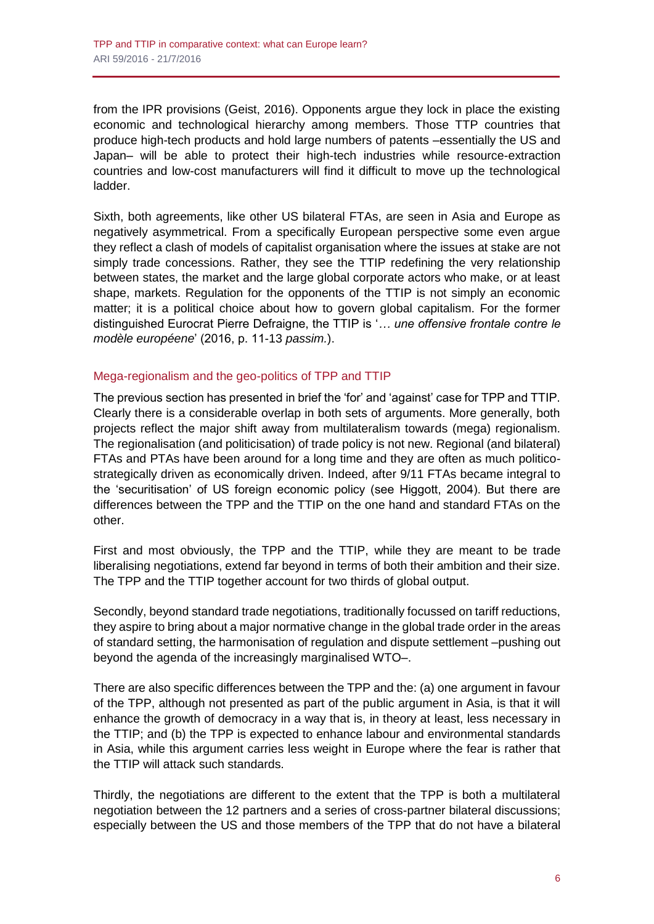from the IPR provisions (Geist, 2016). Opponents argue they lock in place the existing economic and technological hierarchy among members. Those TTP countries that produce high-tech products and hold large numbers of patents –essentially the US and Japan– will be able to protect their high-tech industries while resource-extraction countries and low-cost manufacturers will find it difficult to move up the technological ladder.

Sixth, both agreements, like other US bilateral FTAs, are seen in Asia and Europe as negatively asymmetrical. From a specifically European perspective some even argue they reflect a clash of models of capitalist organisation where the issues at stake are not simply trade concessions. Rather, they see the TTIP redefining the very relationship between states, the market and the large global corporate actors who make, or at least shape, markets. Regulation for the opponents of the TTIP is not simply an economic matter; it is a political choice about how to govern global capitalism. For the former distinguished Eurocrat Pierre Defraigne, the TTIP is '*… une offensive frontale contre le modèle européene*' (2016, p. 11-13 *passim.*).

## Mega-regionalism and the geo-politics of TPP and TTIP

The previous section has presented in brief the 'for' and 'against' case for TPP and TTIP. Clearly there is a considerable overlap in both sets of arguments. More generally, both projects reflect the major shift away from multilateralism towards (mega) regionalism. The regionalisation (and politicisation) of trade policy is not new. Regional (and bilateral) FTAs and PTAs have been around for a long time and they are often as much politicostrategically driven as economically driven. Indeed, after 9/11 FTAs became integral to the 'securitisation' of US foreign economic policy (see Higgott, 2004). But there are differences between the TPP and the TTIP on the one hand and standard FTAs on the other.

First and most obviously, the TPP and the TTIP, while they are meant to be trade liberalising negotiations, extend far beyond in terms of both their ambition and their size. The TPP and the TTIP together account for two thirds of global output.

Secondly, beyond standard trade negotiations, traditionally focussed on tariff reductions, they aspire to bring about a major normative change in the global trade order in the areas of standard setting, the harmonisation of regulation and dispute settlement –pushing out beyond the agenda of the increasingly marginalised WTO–.

There are also specific differences between the TPP and the: (a) one argument in favour of the TPP, although not presented as part of the public argument in Asia, is that it will enhance the growth of democracy in a way that is, in theory at least, less necessary in the TTIP; and (b) the TPP is expected to enhance labour and environmental standards in Asia, while this argument carries less weight in Europe where the fear is rather that the TTIP will attack such standards.

Thirdly, the negotiations are different to the extent that the TPP is both a multilateral negotiation between the 12 partners and a series of cross-partner bilateral discussions; especially between the US and those members of the TPP that do not have a bilateral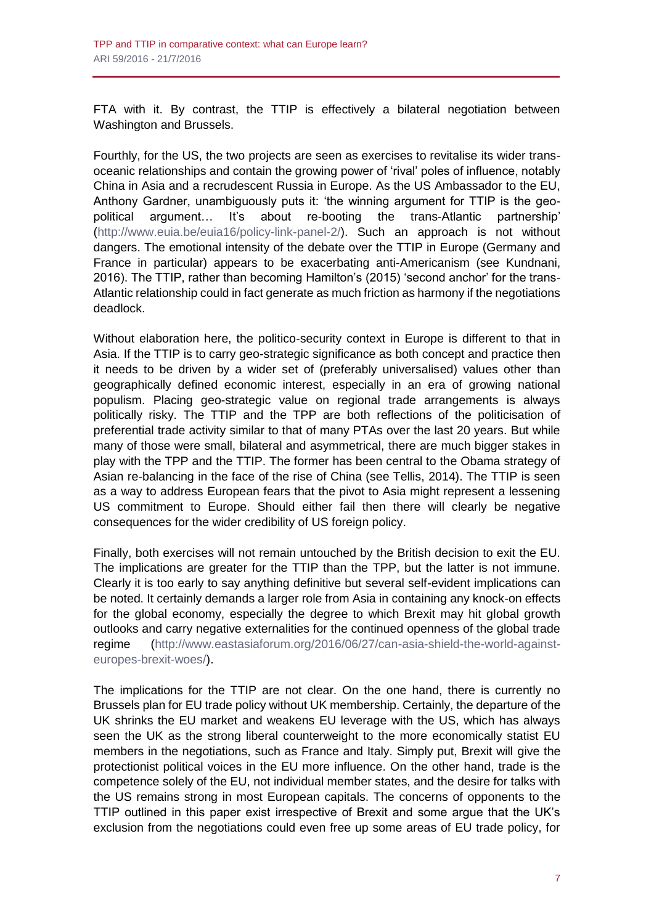FTA with it. By contrast, the TTIP is effectively a bilateral negotiation between Washington and Brussels.

Fourthly, for the US, the two projects are seen as exercises to revitalise its wider transoceanic relationships and contain the growing power of 'rival' poles of influence, notably China in Asia and a recrudescent Russia in Europe. As the US Ambassador to the EU, Anthony Gardner, unambiguously puts it: 'the winning argument for TTIP is the geopolitical argument… It's about re-booting the trans-Atlantic partnership' [\(http://www.euia.be/euia16/policy-link-panel-2/\)](http://www.euia.be/euia16/policy-link-panel-2/). Such an approach is not without dangers. The emotional intensity of the debate over the TTIP in Europe (Germany and France in particular) appears to be exacerbating anti-Americanism (see Kundnani, 2016). The TTIP, rather than becoming Hamilton's (2015) 'second anchor' for the trans-Atlantic relationship could in fact generate as much friction as harmony if the negotiations deadlock.

Without elaboration here, the politico-security context in Europe is different to that in Asia. If the TTIP is to carry geo-strategic significance as both concept and practice then it needs to be driven by a wider set of (preferably universalised) values other than geographically defined economic interest, especially in an era of growing national populism. Placing geo-strategic value on regional trade arrangements is always politically risky. The TTIP and the TPP are both reflections of the politicisation of preferential trade activity similar to that of many PTAs over the last 20 years. But while many of those were small, bilateral and asymmetrical, there are much bigger stakes in play with the TPP and the TTIP. The former has been central to the Obama strategy of Asian re-balancing in the face of the rise of China (see Tellis, 2014). The TTIP is seen as a way to address European fears that the pivot to Asia might represent a lessening US commitment to Europe. Should either fail then there will clearly be negative consequences for the wider credibility of US foreign policy.

Finally, both exercises will not remain untouched by the British decision to exit the EU. The implications are greater for the TTIP than the TPP, but the latter is not immune. Clearly it is too early to say anything definitive but several self-evident implications can be noted. It certainly demands a larger role from Asia in containing any knock-on effects for the global economy, especially the degree to which Brexit may hit global growth outlooks and carry negative externalities for the continued openness of the global trade regime [\(http://www.eastasiaforum.org/2016/06/27/can-asia-shield-the-world-against](http://www.eastasiaforum.org/2016/06/27/can-asia-shield-the-world-against-europes-brexit-woes/)[europes-brexit-woes/\)](http://www.eastasiaforum.org/2016/06/27/can-asia-shield-the-world-against-europes-brexit-woes/).

The implications for the TTIP are not clear. On the one hand, there is currently no Brussels plan for EU trade policy without UK membership. Certainly, the departure of the UK shrinks the EU market and weakens EU leverage with the US, which has always seen the UK as the strong liberal counterweight to the more economically statist EU members in the negotiations, such as France and Italy. Simply put, Brexit will give the protectionist political voices in the EU more influence. On the other hand, trade is the competence solely of the EU, not individual member states, and the desire for talks with the US remains strong in most European capitals. The concerns of opponents to the TTIP outlined in this paper exist irrespective of Brexit and some argue that the UK's exclusion from the negotiations could even free up some areas of EU trade policy, for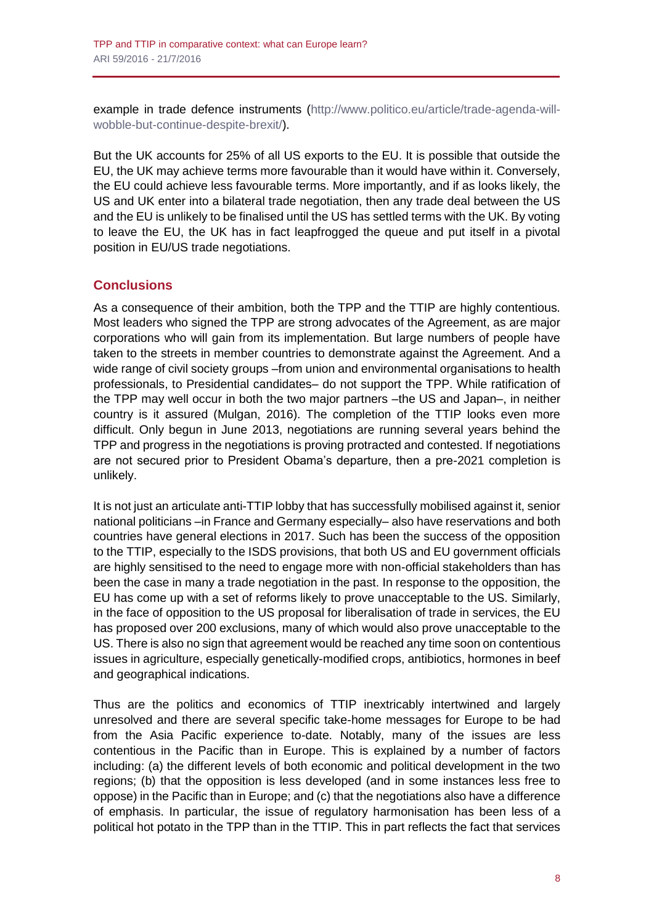example in trade defence instruments [\(http://www.politico.eu/article/trade-agenda-will](http://www.politico.eu/article/trade-agenda-will-wobble-but-continue-despite-brexit/)[wobble-but-continue-despite-brexit/\)](http://www.politico.eu/article/trade-agenda-will-wobble-but-continue-despite-brexit/).

But the UK accounts for 25% of all US exports to the EU. It is possible that outside the EU, the UK may achieve terms more favourable than it would have within it. Conversely, the EU could achieve less favourable terms. More importantly, and if as looks likely, the US and UK enter into a bilateral trade negotiation, then any trade deal between the US and the EU is unlikely to be finalised until the US has settled terms with the UK. By voting to leave the EU, the UK has in fact leapfrogged the queue and put itself in a pivotal position in EU/US trade negotiations.

# **Conclusions**

As a consequence of their ambition, both the TPP and the TTIP are highly contentious. Most leaders who signed the TPP are strong advocates of the Agreement, as are major corporations who will gain from its implementation. But large numbers of people have taken to the streets in member countries to demonstrate against the Agreement. And a wide range of civil society groups –from union and environmental organisations to health professionals, to Presidential candidates– do not support the TPP. While ratification of the TPP may well occur in both the two major partners –the US and Japan–, in neither country is it assured (Mulgan, 2016). The completion of the TTIP looks even more difficult. Only begun in June 2013, negotiations are running several years behind the TPP and progress in the negotiations is proving protracted and contested. If negotiations are not secured prior to President Obama's departure, then a pre-2021 completion is unlikely.

It is not just an articulate anti-TTIP lobby that has successfully mobilised against it, senior national politicians –in France and Germany especially– also have reservations and both countries have general elections in 2017. Such has been the success of the opposition to the TTIP, especially to the ISDS provisions, that both US and EU government officials are highly sensitised to the need to engage more with non-official stakeholders than has been the case in many a trade negotiation in the past. In response to the opposition, the EU has come up with a set of reforms likely to prove unacceptable to the US. Similarly, in the face of opposition to the US proposal for liberalisation of trade in services, the EU has proposed over 200 exclusions, many of which would also prove unacceptable to the US. There is also no sign that agreement would be reached any time soon on contentious issues in agriculture, especially genetically-modified crops, antibiotics, hormones in beef and geographical indications.

Thus are the politics and economics of TTIP inextricably intertwined and largely unresolved and there are several specific take-home messages for Europe to be had from the Asia Pacific experience to-date. Notably, many of the issues are less contentious in the Pacific than in Europe. This is explained by a number of factors including: (a) the different levels of both economic and political development in the two regions; (b) that the opposition is less developed (and in some instances less free to oppose) in the Pacific than in Europe; and (c) that the negotiations also have a difference of emphasis. In particular, the issue of regulatory harmonisation has been less of a political hot potato in the TPP than in the TTIP. This in part reflects the fact that services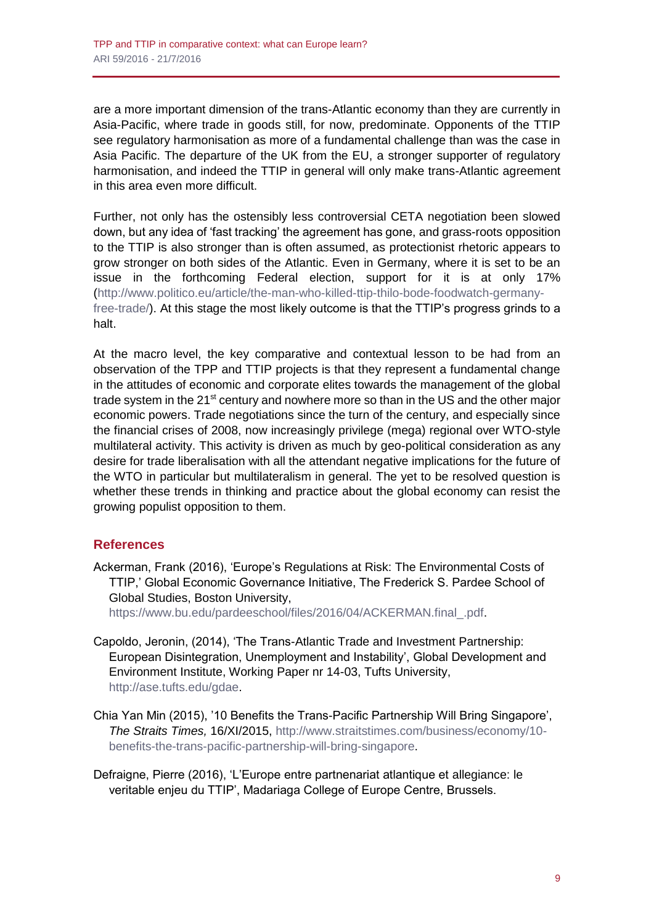are a more important dimension of the trans-Atlantic economy than they are currently in Asia-Pacific, where trade in goods still, for now, predominate. Opponents of the TTIP see regulatory harmonisation as more of a fundamental challenge than was the case in Asia Pacific. The departure of the UK from the EU, a stronger supporter of regulatory harmonisation, and indeed the TTIP in general will only make trans-Atlantic agreement in this area even more difficult.

Further, not only has the ostensibly less controversial CETA negotiation been slowed down, but any idea of 'fast tracking' the agreement has gone, and grass-roots opposition to the TTIP is also stronger than is often assumed, as protectionist rhetoric appears to grow stronger on both sides of the Atlantic. Even in Germany, where it is set to be an issue in the forthcoming Federal election, support for it is at only 17% [\(http://www.politico.eu/article/the-man-who-killed-ttip-thilo-bode-foodwatch-germany](http://www.politico.eu/article/the-man-who-killed-ttip-thilo-bode-foodwatch-germany-free-trade/)[free-trade/\)](http://www.politico.eu/article/the-man-who-killed-ttip-thilo-bode-foodwatch-germany-free-trade/). At this stage the most likely outcome is that the TTIP's progress grinds to a halt.

At the macro level, the key comparative and contextual lesson to be had from an observation of the TPP and TTIP projects is that they represent a fundamental change in the attitudes of economic and corporate elites towards the management of the global trade system in the 21<sup>st</sup> century and nowhere more so than in the US and the other major economic powers. Trade negotiations since the turn of the century, and especially since the financial crises of 2008, now increasingly privilege (mega) regional over WTO-style multilateral activity. This activity is driven as much by geo-political consideration as any desire for trade liberalisation with all the attendant negative implications for the future of the WTO in particular but multilateralism in general. The yet to be resolved question is whether these trends in thinking and practice about the global economy can resist the growing populist opposition to them.

# **References**

Ackerman, Frank (2016), 'Europe's Regulations at Risk: The Environmental Costs of TTIP,' Global Economic Governance Initiative, The Frederick S. Pardee School of Global Studies, Boston University,

[https://www.bu.edu/pardeeschool/files/2016/04/ACKERMAN.final\\_.pdf.](https://www.bu.edu/pardeeschool/files/2016/04/ACKERMAN.final_.pdf)

- Capoldo, Jeronin, (2014), 'The Trans-Atlantic Trade and Investment Partnership: European Disintegration, Unemployment and Instability', Global Development and Environment Institute, Working Paper nr 14-03, Tufts University, [http://ase.tufts.edu/gdae.](http://ase.tufts.edu/gdae)
- Chia Yan Min (2015), '10 Benefits the Trans-Pacific Partnership Will Bring Singapore', *The Straits Times,* 16/XI/2015, [http://www.straitstimes.com/business/economy/10](http://www.straitstimes.com/business/economy/10-benefits-the-trans-pacific-partnership-will-bring-singapore) [benefits-the-trans-pacific-partnership-will-bring-singapore.](http://www.straitstimes.com/business/economy/10-benefits-the-trans-pacific-partnership-will-bring-singapore)

Defraigne, Pierre (2016), 'L'Europe entre partnenariat atlantique et allegiance: le veritable enjeu du TTIP', Madariaga College of Europe Centre, Brussels.